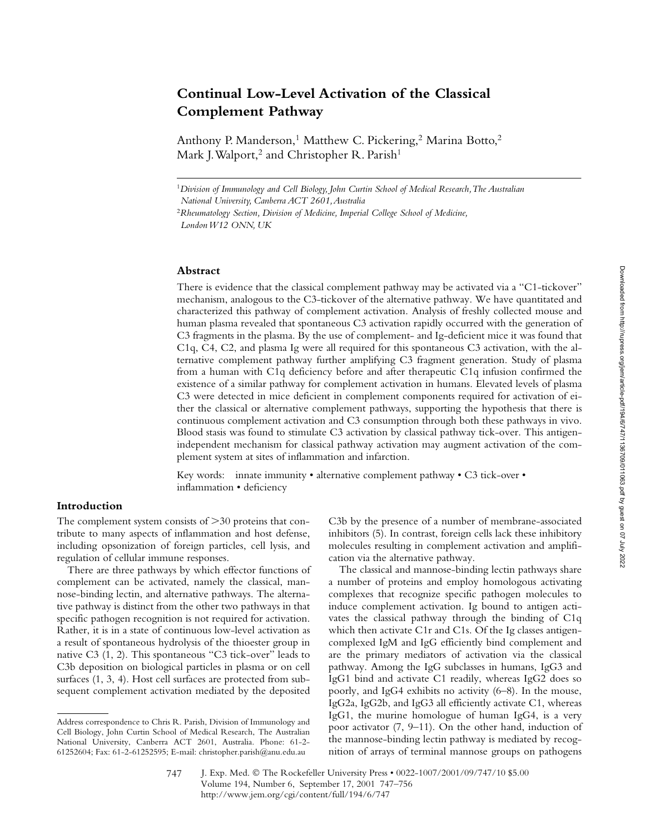# **Continual Low-Level Activation of the Classical Complement Pathway**

Anthony P. Manderson,<sup>1</sup> Matthew C. Pickering,<sup>2</sup> Marina Botto,<sup>2</sup> Mark J. Walport,<sup>2</sup> and Christopher R. Parish<sup>1</sup>

#### **Abstract**

There is evidence that the classical complement pathway may be activated via a "C1-tickover" mechanism, analogous to the C3-tickover of the alternative pathway. We have quantitated and characterized this pathway of complement activation. Analysis of freshly collected mouse and human plasma revealed that spontaneous C3 activation rapidly occurred with the generation of C3 fragments in the plasma. By the use of complement- and Ig-deficient mice it was found that C1q, C4, C2, and plasma Ig were all required for this spontaneous C3 activation, with the alternative complement pathway further amplifying C3 fragment generation. Study of plasma from a human with C1q deficiency before and after therapeutic C1q infusion confirmed the existence of a similar pathway for complement activation in humans. Elevated levels of plasma C3 were detected in mice deficient in complement components required for activation of either the classical or alternative complement pathways, supporting the hypothesis that there is continuous complement activation and C3 consumption through both these pathways in vivo. Blood stasis was found to stimulate C3 activation by classical pathway tick-over. This antigenindependent mechanism for classical pathway activation may augment activation of the complement system at sites of inflammation and infarction.

Key words: innate immunity • alternative complement pathway • C3 tick-over • inflammation • deficiency

#### **Introduction**

The complement system consists of  $>$  30 proteins that contribute to many aspects of inflammation and host defense, including opsonization of foreign particles, cell lysis, and regulation of cellular immune responses.

There are three pathways by which effector functions of complement can be activated, namely the classical, mannose-binding lectin, and alternative pathways. The alternative pathway is distinct from the other two pathways in that specific pathogen recognition is not required for activation. Rather, it is in a state of continuous low-level activation as a result of spontaneous hydrolysis of the thioester group in native C3 (1, 2). This spontaneous "C3 tick-over" leads to C3b deposition on biological particles in plasma or on cell surfaces (1, 3, 4). Host cell surfaces are protected from subsequent complement activation mediated by the deposited

C3b by the presence of a number of membrane-associated inhibitors (5). In contrast, foreign cells lack these inhibitory molecules resulting in complement activation and amplification via the alternative pathway.

The classical and mannose-binding lectin pathways share a number of proteins and employ homologous activating complexes that recognize specific pathogen molecules to induce complement activation. Ig bound to antigen activates the classical pathway through the binding of C1q which then activate C1r and C1s. Of the Ig classes antigencomplexed IgM and IgG efficiently bind complement and are the primary mediators of activation via the classical pathway. Among the IgG subclasses in humans, IgG3 and IgG1 bind and activate C1 readily, whereas IgG2 does so poorly, and IgG4 exhibits no activity (6–8). In the mouse, IgG2a, IgG2b, and IgG3 all efficiently activate C1, whereas IgG1, the murine homologue of human IgG4, is a very poor activator (7, 9–11). On the other hand, induction of the mannose-binding lectin pathway is mediated by recognition of arrays of terminal mannose groups on pathogens

<sup>1</sup>*Division of Immunology and Cell Biology, John Curtin School of Medical Research, The Australian National University, Canberra ACT 2601, Australia*

<sup>2</sup>*Rheumatology Section, Division of Medicine, Imperial College School of Medicine, London W12 ONN, UK*

Address correspondence to Chris R. Parish, Division of Immunology and Cell Biology, John Curtin School of Medical Research, The Australian National University, Canberra ACT 2601, Australia. Phone: 61-2- 61252604; Fax: 61-2-61252595; E-mail: christopher.parish@anu.edu.au

J. Exp. Med. © The Rockefeller University Press • 0022-1007/2001/09/747/10 \$5.00 Volume 194, Number 6, September 17, 2001 747–756 http://www.jem.org/cgi/content/full/194/6/747 747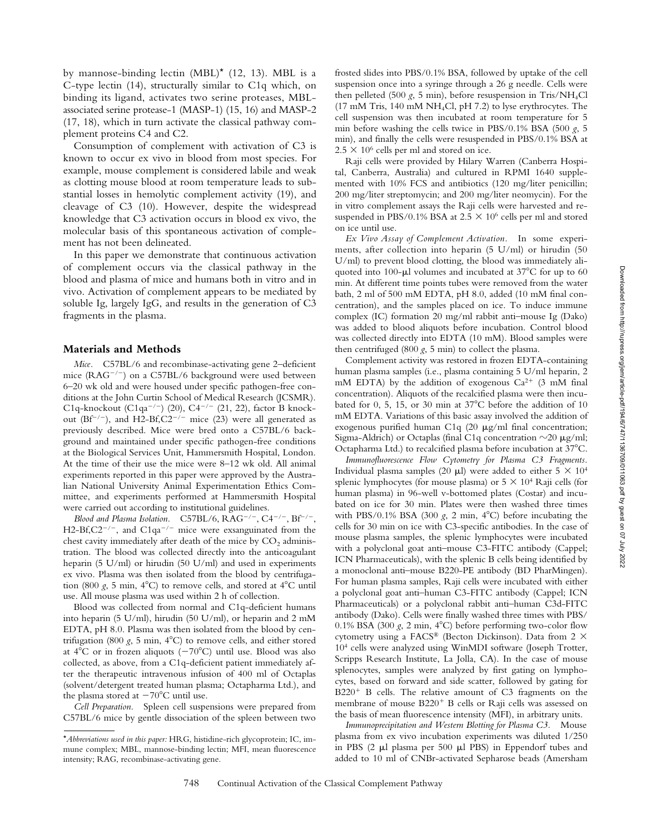by mannose-binding lectin (MBL)\* (12, 13). MBL is a C-type lectin (14), structurally similar to C1q which, on binding its ligand, activates two serine proteases, MBLassociated serine protease-1 (MASP-1) (15, 16) and MASP-2 (17, 18), which in turn activate the classical pathway complement proteins C4 and C2.

Consumption of complement with activation of C3 is known to occur ex vivo in blood from most species. For example, mouse complement is considered labile and weak as clotting mouse blood at room temperature leads to substantial losses in hemolytic complement activity (19), and cleavage of C3 (10). However, despite the widespread knowledge that C3 activation occurs in blood ex vivo, the molecular basis of this spontaneous activation of complement has not been delineated.

In this paper we demonstrate that continuous activation of complement occurs via the classical pathway in the blood and plasma of mice and humans both in vitro and in vivo. Activation of complement appears to be mediated by soluble Ig, largely IgG, and results in the generation of C3 fragments in the plasma.

#### **Materials and Methods**

*Mice.* C57BL/6 and recombinase-activating gene 2–deficient mice  $(RAG^{-/-})$  on a C57BL/6 background were used between 6–20 wk old and were housed under specific pathogen-free conditions at the John Curtin School of Medical Research (JCSMR). C1q-knockout (C1qa<sup>-/-</sup>) (20), C4<sup>-/-</sup> (21, 22), factor B knockout  $(Bf^{-/-})$ , and H2-Bf,C2<sup>-/-</sup> mice (23) were all generated as previously described. Mice were bred onto a C57BL/6 background and maintained under specific pathogen-free conditions at the Biological Services Unit, Hammersmith Hospital, London. At the time of their use the mice were 8–12 wk old. All animal experiments reported in this paper were approved by the Australian National University Animal Experimentation Ethics Committee, and experiments performed at Hammersmith Hospital were carried out according to institutional guidelines.

*Blood and Plasma Isolation.*  $C57BL/6$ ,  $RAG^{-/-}$ ,  $C4^{-/-}$ ,  $Bf^{-/-}$ ,  $H2-Bf$ ,  $C2^{-/-}$ , and  $C1qa^{-/-}$  mice were exsanguinated from the chest cavity immediately after death of the mice by  $CO<sub>2</sub>$  administration. The blood was collected directly into the anticoagulant heparin (5 U/ml) or hirudin (50 U/ml) and used in experiments ex vivo. Plasma was then isolated from the blood by centrifugation (800  $g$ , 5 min, 4<sup>o</sup>C) to remove cells, and stored at 4<sup>o</sup>C until use. All mouse plasma was used within 2 h of collection.

Blood was collected from normal and C1q-deficient humans into heparin (5 U/ml), hirudin (50 U/ml), or heparin and 2 mM EDTA, pH 8.0. Plasma was then isolated from the blood by centrifugation (800  $g$ , 5 min, 4 $^{\circ}$ C) to remove cells, and either stored at  $4^{\circ}$ C or in frozen aliquots ( $-70^{\circ}$ C) until use. Blood was also collected, as above, from a C1q-deficient patient immediately after the therapeutic intravenous infusion of 400 ml of Octaplas (solvent/detergent treated human plasma; Octapharma Ltd.), and the plasma stored at  $-70^{\circ}$ C until use.

*Cell Preparation.* Spleen cell suspensions were prepared from C57BL/6 mice by gentle dissociation of the spleen between two

frosted slides into PBS/0.1% BSA, followed by uptake of the cell suspension once into a syringe through a 26 g needle. Cells were then pelleted (500  $g$ , 5 min), before resuspension in Tris/NH<sub>4</sub>Cl (17 mM Tris, 140 mM NH4Cl, pH 7.2) to lyse erythrocytes. The cell suspension was then incubated at room temperature for 5 min before washing the cells twice in PBS/0.1% BSA (500 *g*, 5 min), and finally the cells were resuspended in PBS/0.1% BSA at  $2.5 \times 10^6$  cells per ml and stored on ice.

Raji cells were provided by Hilary Warren (Canberra Hospital, Canberra, Australia) and cultured in RPMI 1640 supplemented with 10% FCS and antibiotics (120 mg/liter penicillin; 200 mg/liter streptomycin; and 200 mg/liter neomycin). For the in vitro complement assays the Raji cells were harvested and resuspended in PBS/0.1% BSA at 2.5  $\times$  10<sup>6</sup> cells per ml and stored on ice until use.

*Ex Vivo Assay of Complement Activation.* In some experiments, after collection into heparin (5 U/ml) or hirudin (50 U/ml) to prevent blood clotting, the blood was immediately aliquoted into 100- $\mu$ l volumes and incubated at 37°C for up to 60 min. At different time points tubes were removed from the water bath, 2 ml of 500 mM EDTA, pH 8.0, added (10 mM final concentration), and the samples placed on ice. To induce immune complex (IC) formation 20 mg/ml rabbit anti–mouse Ig (Dako) was added to blood aliquots before incubation. Control blood was collected directly into EDTA (10 mM). Blood samples were then centrifuged  $(800 \text{ g}, 5 \text{ min})$  to collect the plasma.

Complement activity was restored in frozen EDTA-containing human plasma samples (i.e., plasma containing 5 U/ml heparin, 2 mM EDTA) by the addition of exogenous  $Ca^{2+}$  (3 mM final concentration). Aliquots of the recalcified plasma were then incubated for 0, 5, 15, or 30 min at 37°C before the addition of 10 mM EDTA. Variations of this basic assay involved the addition of exogenous purified human C1q (20  $\mu$ g/ml final concentration; Sigma-Aldrich) or Octaplas (final C1q concentration  $\sim$ 20  $\mu$ g/ml; Octapharma Ltd.) to recalcified plasma before incubation at 37<sup>o</sup>C.

*Immunofluorescence Flow Cytometry for Plasma C3 Fragments.* Individual plasma samples (20  $\mu$ l) were added to either 5  $\times$  10<sup>4</sup> splenic lymphocytes (for mouse plasma) or  $5 \times 10^4$  Raji cells (for human plasma) in 96-well v-bottomed plates (Costar) and incubated on ice for 30 min. Plates were then washed three times with PBS/0.1% BSA (300  $g$ , 2 min, 4°C) before incubating the cells for 30 min on ice with C3-specific antibodies. In the case of mouse plasma samples, the splenic lymphocytes were incubated with a polyclonal goat anti–mouse C3-FITC antibody (Cappel; ICN Pharmaceuticals), with the splenic B cells being identified by a monoclonal anti–mouse B220-PE antibody (BD PharMingen). For human plasma samples, Raji cells were incubated with either a polyclonal goat anti–human C3-FITC antibody (Cappel; ICN Pharmaceuticals) or a polyclonal rabbit anti–human C3d-FITC antibody (Dako). Cells were finally washed three times with PBS/ 0.1% BSA (300  $g$ , 2 min, 4°C) before performing two-color flow cytometry using a FACS® (Becton Dickinson). Data from  $2 \times$ 104 cells were analyzed using WinMDI software (Joseph Trotter, Scripps Research Institute, La Jolla, CA). In the case of mouse splenocytes, samples were analyzed by first gating on lymphocytes, based on forward and side scatter, followed by gating for  $B220<sup>+</sup>$  B cells. The relative amount of C3 fragments on the membrane of mouse  $B220<sup>+</sup>$  B cells or Raji cells was assessed on the basis of mean fluorescence intensity (MFI), in arbitrary units.

*Immunoprecipitation and Western Blotting for Plasma C3.* Mouse plasma from ex vivo incubation experiments was diluted 1/250 in PBS  $(2 \mu l)$  plasma per 500  $\mu$ l PBS) in Eppendorf tubes and added to 10 ml of CNBr-activated Sepharose beads (Amersham

<sup>\*</sup>*Abbreviations used in this paper:* HRG, histidine-rich glycoprotein; IC, immune complex; MBL, mannose-binding lectin; MFI, mean fluorescence intensity; RAG, recombinase-activating gene.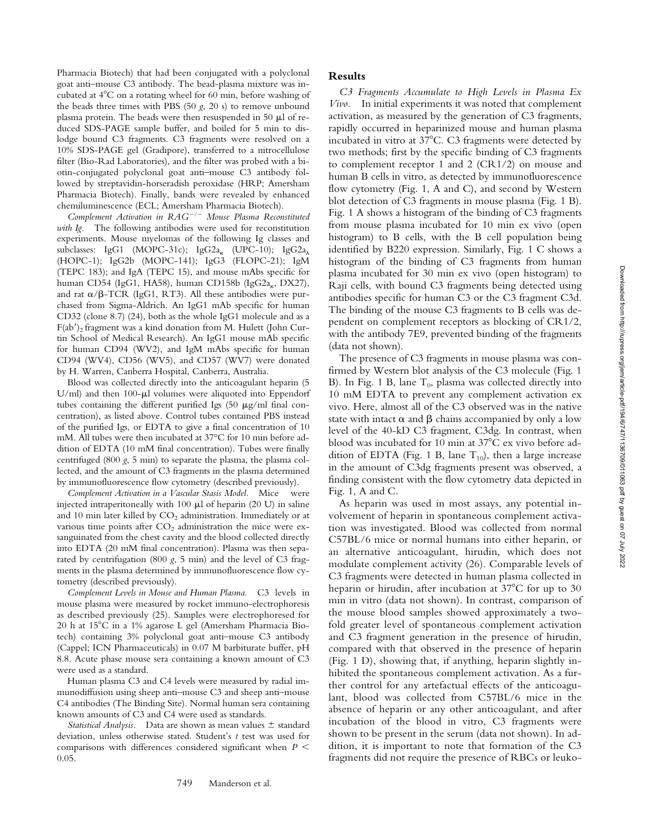Pharmacia Biotech) that had been conjugated with a polyclonal goat anti–mouse C3 antibody. The bead-plasma mixture was incubated at 4C on a rotating wheel for 60 min, before washing of the beads three times with PBS (50 *g*, 20 s) to remove unbound plasma protein. The beads were then resuspended in 50  $\mu$ l of reduced SDS-PAGE sample buffer, and boiled for 5 min to dislodge bound C3 fragments. C3 fragments were resolved on a 10% SDS-PAGE gel (Gradipore), transferred to a nitrocellulose filter (Bio-Rad Laboratories), and the filter was probed with a biotin-conjugated polyclonal goat anti–mouse C3 antibody followed by streptavidin-horseradish peroxidase (HRP; Amersham Pharmacia Biotech). Finally, bands were revealed by enhanced chemiluminescence (ECL; Amersham Pharmacia Biotech).

*Complement Activation in RAG/ Mouse Plasma Reconstituted with Ig.* The following antibodies were used for reconstitution experiments. Mouse myelomas of the following Ig classes and subclasses: IgG1 (MOPC-31c); IgG2a<sub>k</sub> (UPC-10); IgG2a<sub> $\lambda$ </sub> (HOPC-1); IgG2b (MOPC-141); IgG3 (FLOPC-21); IgM (TEPC 183); and IgA (TEPC 15), and mouse mAbs specific for human CD54 (IgG1, HA58), human CD158b (IgG2a<sub>K</sub>, DX27), and rat  $\alpha$ / $\beta$ -TCR (IgG1, RT3). All these antibodies were purchased from Sigma-Aldrich. An IgG1 mAb specific for human CD32 (clone 8.7) (24), both as the whole IgG1 molecule and as a  $F(ab')$ <sub>2</sub> fragment was a kind donation from M. Hulett (John Curtin School of Medical Research). An IgG1 mouse mAb specific for human CD94 (WV2), and IgM mAbs specific for human CD94 (WV4), CD56 (WV5), and CD57 (WV7) were donated by H. Warren, Canberra Hospital, Canberra, Australia.

Blood was collected directly into the anticoagulant heparin (5 U/ml) and then  $100-\mu l$  volumes were aliquoted into Eppendorf tubes containing the different purified Igs (50  $\mu$ g/ml final concentration), as listed above. Control tubes contained PBS instead of the purified Igs, or EDTA to give a final concentration of 10 mM. All tubes were then incubated at 37°C for 10 min before addition of EDTA (10 mM final concentration). Tubes were finally centrifuged (800  $g$ , 5 min) to separate the plasma, the plasma collected, and the amount of C3 fragments in the plasma determined by immunofluorescence flow cytometry (described previously).

*Complement Activation in a Vascular Stasis Model.* Mice were injected intraperitoneally with 100  $\mu$ l of heparin (20 U) in saline and 10 min later killed by  $CO<sub>2</sub>$  administration. Immediately or at various time points after  $CO<sub>2</sub>$  administration the mice were exsanguinated from the chest cavity and the blood collected directly into EDTA (20 mM final concentration). Plasma was then separated by centrifugation (800 *g*, 5 min) and the level of C3 fragments in the plasma determined by immunofluorescence flow cytometry (described previously).

*Complement Levels in Mouse and Human Plasma.* C3 levels in mouse plasma were measured by rocket immuno-electrophoresis as described previously (25). Samples were electrophoresed for 20 h at 15°C in a 1% agarose L gel (Amersham Pharmacia Biotech) containing 3% polyclonal goat anti–mouse C3 antibody (Cappel; ICN Pharmaceuticals) in 0.07 M barbiturate buffer, pH 8.8. Acute phase mouse sera containing a known amount of C3 were used as a standard.

Human plasma C3 and C4 levels were measured by radial immunodiffusion using sheep anti–mouse C3 and sheep anti–mouse C4 antibodies (The Binding Site). Normal human sera containing known amounts of C3 and C4 were used as standards.

*Statistical Analysis.* Data are shown as mean values  $\pm$  standard deviation, unless otherwise stated. Student's *t* test was used for comparisons with differences considered significant when *P*  0.05.

## **Results**

*C3 Fragments Accumulate to High Levels in Plasma Ex Vivo.* In initial experiments it was noted that complement activation, as measured by the generation of C3 fragments, rapidly occurred in heparinized mouse and human plasma incubated in vitro at  $37^{\circ}$ C. C3 fragments were detected by two methods; first by the specific binding of C3 fragments to complement receptor 1 and 2 (CR1/2) on mouse and human B cells in vitro, as detected by immunofluorescence flow cytometry (Fig. 1, A and C), and second by Western blot detection of C3 fragments in mouse plasma (Fig. 1 B). Fig. 1 A shows a histogram of the binding of C3 fragments from mouse plasma incubated for 10 min ex vivo (open histogram) to B cells, with the B cell population being identified by B220 expression. Similarly, Fig. 1 C shows a histogram of the binding of C3 fragments from human plasma incubated for 30 min ex vivo (open histogram) to Raji cells, with bound C3 fragments being detected using antibodies specific for human C3 or the C3 fragment C3d. The binding of the mouse C3 fragments to B cells was dependent on complement receptors as blocking of CR1/2, with the antibody 7E9, prevented binding of the fragments (data not shown).

The presence of C3 fragments in mouse plasma was confirmed by Western blot analysis of the C3 molecule (Fig. 1 B). In Fig. 1 B, lane  $T_0$ , plasma was collected directly into 10 mM EDTA to prevent any complement activation ex vivo. Here, almost all of the C3 observed was in the native state with intact  $\alpha$  and  $\beta$  chains accompanied by only a low level of the 40-kD C3 fragment, C3dg. In contrast, when blood was incubated for 10 min at 37°C ex vivo before addition of EDTA (Fig. 1 B, lane  $T_{10}$ ), then a large increase in the amount of C3dg fragments present was observed, a finding consistent with the flow cytometry data depicted in Fig. 1, A and C.

As heparin was used in most assays, any potential involvement of heparin in spontaneous complement activation was investigated. Blood was collected from normal C57BL/6 mice or normal humans into either heparin, or an alternative anticoagulant, hirudin, which does not modulate complement activity (26). Comparable levels of C3 fragments were detected in human plasma collected in heparin or hirudin, after incubation at  $37^{\circ}$ C for up to 30 min in vitro (data not shown). In contrast, comparison of the mouse blood samples showed approximately a twofold greater level of spontaneous complement activation and C3 fragment generation in the presence of hirudin, compared with that observed in the presence of heparin (Fig. 1 D), showing that, if anything, heparin slightly inhibited the spontaneous complement activation. As a further control for any artefactual effects of the anticoagulant, blood was collected from C57BL/6 mice in the absence of heparin or any other anticoagulant, and after incubation of the blood in vitro, C3 fragments were shown to be present in the serum (data not shown). In addition, it is important to note that formation of the C3 fragments did not require the presence of RBCs or leuko-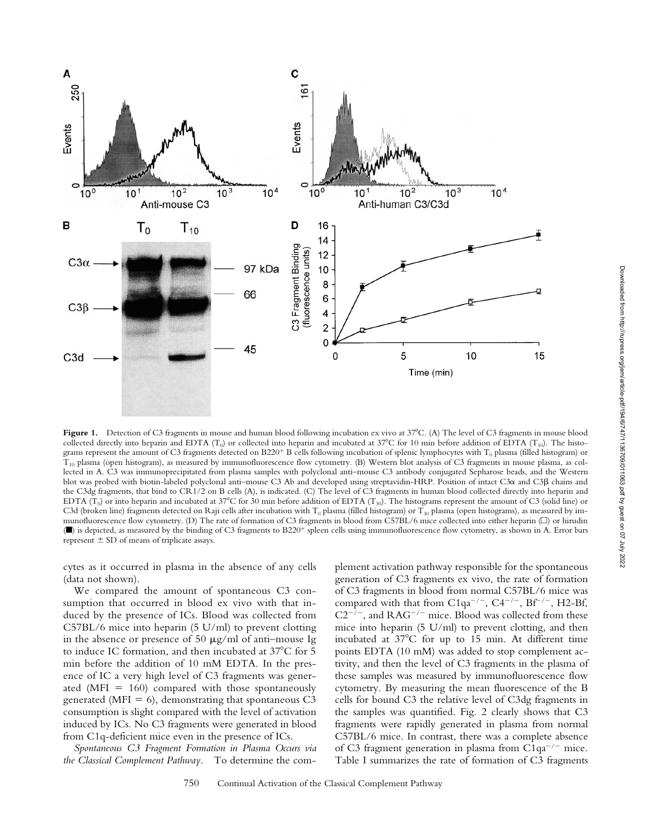

Figure 1. Detection of C3 fragments in mouse and human blood following incubation ex vivo at 37°C. (A) The level of C3 fragments in mouse blood collected directly into heparin and EDTA ( $T_0$ ) or collected into heparin and incubated at 37°C for 10 min before addition of EDTA ( $T_{10}$ ). The histograms represent the amount of C3 fragments detected on B220<sup>+</sup> B cells following incubation of splenic lymphocytes with T<sub>0</sub> plasma (filled histogram) or  $T_{10}$  plasma (open histogram), as measured by immunofluorescence flow cytometry. (B) Western blot analysis of C3 fragments in mouse plasma, as collected in A. C3 was immunoprecipitated from plasma samples with polyclonal anti–mouse C3 antibody conjugated Sepharose beads, and the Western blot was probed with biotin-labeled polyclonal anti–mouse C3 Ab and developed using streptavidin-HRP. Position of intact C3α and C3β chains and the C3dg fragments, that bind to CR1/2 on B cells (A), is indicated. (C) The level of C3 fragments in human blood collected directly into heparin and EDTA ( $T_0$ ) or into heparin and incubated at 37°C for 30 min before addition of EDTA ( $T_{30}$ ). The histograms represent the amount of C3 (solid line) or C3d (broken line) fragments detected on Raji cells after incubation with  $T_0$  plasma (filled histogram) or  $T_{30}$  plasma (open histograms), as measured by immunofluorescence flow cytometry. (D) The rate of formation of C3 fragments in blood from C57BL/6 mice collected into either heparin ( $\square$ ) or hirudin (■) is depicted, as measured by the binding of C3 fragments to B220<sup>+</sup> spleen cells using immunofluorescence flow cytometry, as shown in A. Error bars represent  $\pm$  SD of means of triplicate assays.

cytes as it occurred in plasma in the absence of any cells (data not shown).

We compared the amount of spontaneous C3 consumption that occurred in blood ex vivo with that induced by the presence of ICs. Blood was collected from C57BL/6 mice into heparin (5 U/ml) to prevent clotting in the absence or presence of 50  $\mu$ g/ml of anti-mouse Ig to induce IC formation, and then incubated at  $37^{\circ}$ C for 5 min before the addition of 10 mM EDTA. In the presence of IC a very high level of C3 fragments was generated (MFI =  $160$ ) compared with those spontaneously generated (MFI = 6), demonstrating that spontaneous  $C3$ consumption is slight compared with the level of activation induced by ICs. No C3 fragments were generated in blood from C1q-deficient mice even in the presence of ICs.

*Spontaneous C3 Fragment Formation in Plasma Occurs via the Classical Complement Pathway.* To determine the com-

plement activation pathway responsible for the spontaneous generation of C3 fragments ex vivo, the rate of formation of C3 fragments in blood from normal C57BL/6 mice was compared with that from C1qa<sup>-/-</sup>, C4<sup>-/-</sup>, Bf<sup>-/-</sup>, H2-Bf,  $C2^{-7}$ , and RAG<sup>-/-</sup> mice. Blood was collected from these mice into heparin (5 U/ml) to prevent clotting, and then incubated at  $37^{\circ}$ C for up to 15 min. At different time points EDTA (10 mM) was added to stop complement activity, and then the level of C3 fragments in the plasma of these samples was measured by immunofluorescence flow cytometry. By measuring the mean fluorescence of the B cells for bound C3 the relative level of C3dg fragments in the samples was quantified. Fig. 2 clearly shows that C3 fragments were rapidly generated in plasma from normal C57BL/6 mice. In contrast, there was a complete absence of C3 fragment generation in plasma from  $C1qa^{-/-}$  mice. Table I summarizes the rate of formation of C3 fragments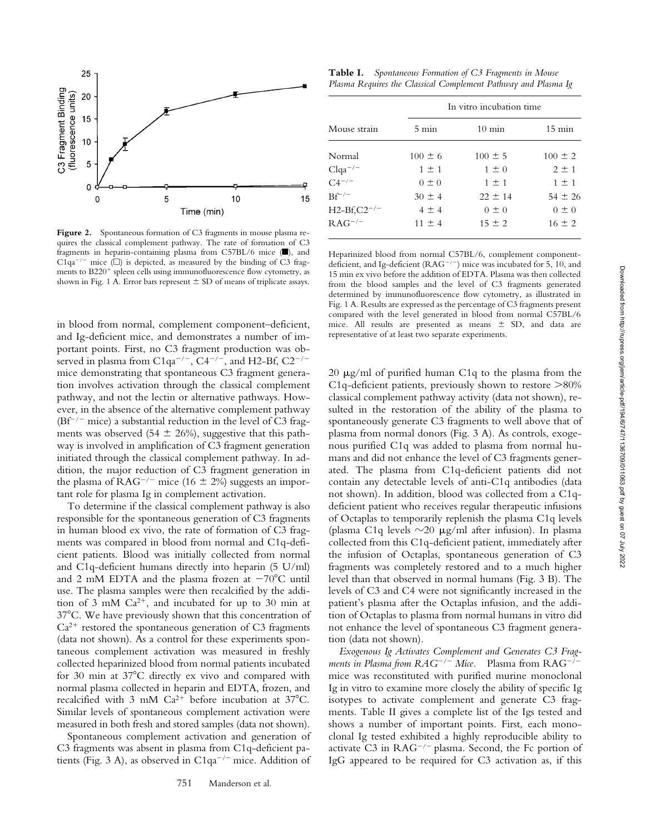

Figure 2. Spontaneous formation of C3 fragments in mouse plasma requires the classical complement pathway. The rate of formation of C3 fragments in heparin-containing plasma from C57BL/6 mice (■), and C1qa<sup>-/-</sup> mice ( $\square$ ) is depicted, as measured by the binding of C3 fragments to B220<sup>+</sup> spleen cells using immunofluorescence flow cytometry, as shown in Fig. 1 A. Error bars represent  $\pm$  SD of means of triplicate assays.

in blood from normal, complement component–deficient, and Ig-deficient mice, and demonstrates a number of important points. First, no C3 fragment production was observed in plasma from C1qa<sup>-/-</sup>, C4<sup>-/-</sup>, and H2-Bf, C2<sup>-/-</sup> mice demonstrating that spontaneous C3 fragment generation involves activation through the classical complement pathway, and not the lectin or alternative pathways. However, in the absence of the alternative complement pathway  $(Bf^{-/-}$  mice) a substantial reduction in the level of C3 fragments was observed (54  $\pm$  26%), suggestive that this pathway is involved in amplification of C3 fragment generation initiated through the classical complement pathway. In addition, the major reduction of C3 fragment generation in the plasma of  $RAG^{-/-}$  mice (16  $\pm$  2%) suggests an important role for plasma Ig in complement activation.

To determine if the classical complement pathway is also responsible for the spontaneous generation of C3 fragments in human blood ex vivo, the rate of formation of C3 fragments was compared in blood from normal and C1q-deficient patients. Blood was initially collected from normal and C1q-deficient humans directly into heparin (5 U/ml) and 2 mM EDTA and the plasma frozen at  $-70^{\circ}$ C until use. The plasma samples were then recalcified by the addition of 3 mM  $Ca^{2+}$ , and incubated for up to 30 min at 37C. We have previously shown that this concentration of  $Ca<sup>2+</sup>$  restored the spontaneous generation of C3 fragments (data not shown). As a control for these experiments spontaneous complement activation was measured in freshly collected heparinized blood from normal patients incubated for 30 min at  $37^{\circ}$ C directly ex vivo and compared with normal plasma collected in heparin and EDTA, frozen, and recalcified with 3 mM  $Ca^{2+}$  before incubation at 37°C. Similar levels of spontaneous complement activation were measured in both fresh and stored samples (data not shown).

Spontaneous complement activation and generation of C3 fragments was absent in plasma from C1q-deficient patients (Fig. 3 A), as observed in  $C1qa^{-/-}$  mice. Addition of

**Table I.** *Spontaneous Formation of C3 Fragments in Mouse Plasma Requires the Classical Complement Pathway and Plasma Ig*

| $5 \text{ min}$ | $10 \text{ min}$ | $15 \text{ min}$         |
|-----------------|------------------|--------------------------|
| $100 \pm 6$     | $100 \pm 5$      | $100 \pm 2$              |
| $1 \pm 1$       | $1 \pm 0$        | $2 \pm 1$                |
| $0 \pm 0$       | $1 \pm 1$        | $1 \pm 1$                |
| $30 \pm 4$      | $22 \pm 14$      | $54 \pm 26$              |
| $4 \pm 4$       | $0 \pm 0$        | $0 \pm 0$                |
| $11 \pm 4$      | $15 \pm 2$       | $16 \pm 2$               |
|                 |                  | In vitro incubation time |

Heparinized blood from normal C57BL/6, complement componentdeficient, and Ig-deficient ( $RAG^{-/-}$ ) mice was incubated for 5, 10, and 15 min ex vivo before the addition of EDTA. Plasma was then collected from the blood samples and the level of C3 fragments generated determined by immunofluorescence flow cytometry, as illustrated in Fig. 1 A. Results are expressed as the percentage of C3 fragments present compared with the level generated in blood from normal C57BL/6 mice. All results are presented as means  $\pm$  SD, and data are representative of at least two separate experiments.

 $20 \mu g/ml$  of purified human C1q to the plasma from the C1q-deficient patients, previously shown to restore  $>$ 80% classical complement pathway activity (data not shown), resulted in the restoration of the ability of the plasma to spontaneously generate C3 fragments to well above that of plasma from normal donors (Fig. 3 A). As controls, exogenous purified C1q was added to plasma from normal humans and did not enhance the level of C3 fragments generated. The plasma from C1q-deficient patients did not contain any detectable levels of anti-C1q antibodies (data not shown). In addition, blood was collected from a C1qdeficient patient who receives regular therapeutic infusions of Octaplas to temporarily replenish the plasma C1q levels (plasma C1q levels  $\sim$ 20  $\mu$ g/ml after infusion). In plasma collected from this C1q-deficient patient, immediately after the infusion of Octaplas, spontaneous generation of C3 fragments was completely restored and to a much higher level than that observed in normal humans (Fig. 3 B). The levels of C3 and C4 were not significantly increased in the patient's plasma after the Octaplas infusion, and the addition of Octaplas to plasma from normal humans in vitro did not enhance the level of spontaneous C3 fragment generation (data not shown).

*Exogenous Ig Activates Complement and Generates C3 Fragments in Plasma from RAG<sup>-/-</sup> Mice.* Plasma from RAG<sup>-/-</sup> mice was reconstituted with purified murine monoclonal Ig in vitro to examine more closely the ability of specific Ig isotypes to activate complement and generate C3 fragments. Table II gives a complete list of the Igs tested and shows a number of important points. First, each monoclonal Ig tested exhibited a highly reproducible ability to activate C3 in  $RAG^{-/-}$  plasma. Second, the Fc portion of IgG appeared to be required for C3 activation as, if this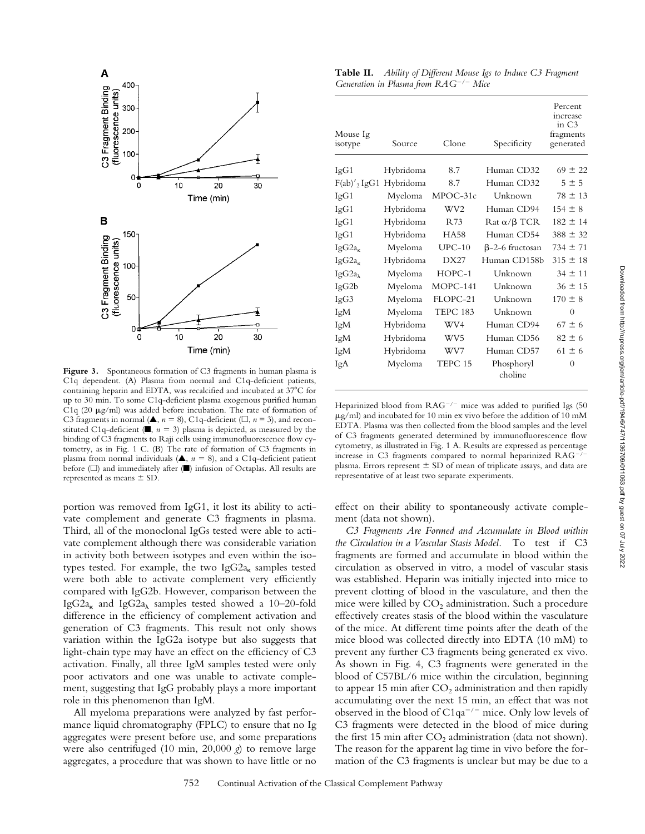

Figure 3. Spontaneous formation of C3 fragments in human plasma is C1q dependent. (A) Plasma from normal and C1q-deficient patients, containing heparin and EDTA, was recalcified and incubated at 37°C for up to 30 min. To some C1q-deficient plasma exogenous purified human C1q (20  $\mu$ g/ml) was added before incubation. The rate of formation of C3 fragments in normal ( $\triangle$ ,  $n = 8$ ), C1q-deficient ( $\square$ ,  $n = 3$ ), and reconstituted C1q-deficient ( $\blacksquare$ ,  $n = 3$ ) plasma is depicted, as measured by the binding of C3 fragments to Raji cells using immunofluorescence flow cytometry, as in Fig. 1 C. (B) The rate of formation of C3 fragments in plasma from normal individuals ( $\triangle$ ,  $n = 8$ ), and a C1q-deficient patient before (□) and immediately after (■) infusion of Octaplas. All results are represented as means  $\pm$  SD.

portion was removed from IgG1, it lost its ability to activate complement and generate C3 fragments in plasma. Third, all of the monoclonal IgGs tested were able to activate complement although there was considerable variation in activity both between isotypes and even within the isotypes tested. For example, the two Ig $G2a_{\kappa}$  samples tested were both able to activate complement very efficiently compared with IgG2b. However, comparison between the IgG2a<sub> $\kappa$ </sub> and IgG2a<sub> $\lambda$ </sub> samples tested showed a 10–20-fold difference in the efficiency of complement activation and generation of C3 fragments. This result not only shows variation within the IgG2a isotype but also suggests that light-chain type may have an effect on the efficiency of C3 activation. Finally, all three IgM samples tested were only poor activators and one was unable to activate complement, suggesting that IgG probably plays a more important role in this phenomenon than IgM.

All myeloma preparations were analyzed by fast performance liquid chromatography (FPLC) to ensure that no Ig aggregates were present before use, and some preparations were also centrifuged (10 min, 20,000 *g*) to remove large aggregates, a procedure that was shown to have little or no

**Table II.** *Ability of Different Mouse Igs to Induce C3 Fragment Generation in Plasma from RAG/ Mice*

| Mouse Ig          |           |                 |                                       | Percent<br>increase<br>in C3<br>fragments |
|-------------------|-----------|-----------------|---------------------------------------|-------------------------------------------|
| isotype           | Source    | Clone           | Specificity                           | generated                                 |
| IgG1              | Hybridoma | 8.7             | Human CD32                            | $69 \pm 22$                               |
| $F(ab)'$ , IgG1   | Hybridoma | 8.7             | Human CD32                            | $5 \pm 5$                                 |
| IgG1              | Myeloma   | MPOC-31c        | Unknown                               | $78 \pm 13$                               |
| IgG1              | Hybridoma | WV <sub>2</sub> | Human CD94                            | $154 \pm 8$                               |
| IgG1              | Hybridoma | R73             | $\text{Rat} \alpha/\beta \text{ TCR}$ | $182 \pm 14$                              |
| IgG1              | Hybridoma | <b>HA58</b>     | Human CD54                            | $388 \pm 32$                              |
| $IgG2a_{\kappa}$  | Myeloma   | $UPC-10$        | $\beta$ -2-6 fructosan                | $734 \pm 71$                              |
| $IgG2a_{\kappa}$  | Hybridoma | DX27            | Human CD158b                          | $315 \pm 18$                              |
| $IgG2a_{\lambda}$ | Myeloma   | $HOPC-1$        | Unknown                               | $34 \pm 11$                               |
| IgG2b             | Myeloma   | MOPC-141        | Unknown                               | $36 \pm 15$                               |
| IgG3              | Myeloma   | FLOPC-21        | Unknown                               | $170 \pm 8$                               |
| IgM               | Myeloma   | <b>TEPC 183</b> | Unknown                               | $\theta$                                  |
| IgM               | Hybridoma | WV4             | Human CD94                            | $67 \pm 6$                                |
| IgM               | Hybridoma | WV <sub>5</sub> | Human CD56                            | $82 \pm 6$                                |
| IgM               | Hybridoma | WV7             | Human CD57                            | $61 \pm 6$                                |
| IgA               | Myeloma   | TEPC 15         | Phosphoryl<br>choline                 | $\theta$                                  |

Heparinized blood from  $RAG^{-/-}$  mice was added to purified Igs (50  $\mu$ g/ml) and incubated for 10 min ex vivo before the addition of 10 mM EDTA. Plasma was then collected from the blood samples and the level of C3 fragments generated determined by immunofluorescence flow cytometry, as illustrated in Fig. 1 A. Results are expressed as percentage increase in C3 fragments compared to normal heparinized RAGplasma. Errors represent  $\pm$  SD of mean of triplicate assays, and data are representative of at least two separate experiments.

effect on their ability to spontaneously activate complement (data not shown).

*C3 Fragments Are Formed and Accumulate in Blood within the Circulation in a Vascular Stasis Model.* To test if C3 fragments are formed and accumulate in blood within the circulation as observed in vitro, a model of vascular stasis was established. Heparin was initially injected into mice to prevent clotting of blood in the vasculature, and then the mice were killed by  $CO<sub>2</sub>$  administration. Such a procedure effectively creates stasis of the blood within the vasculature of the mice. At different time points after the death of the mice blood was collected directly into EDTA (10 mM) to prevent any further C3 fragments being generated ex vivo. As shown in Fig. 4, C3 fragments were generated in the blood of C57BL/6 mice within the circulation, beginning to appear 15 min after  $CO<sub>2</sub>$  administration and then rapidly accumulating over the next 15 min, an effect that was not observed in the blood of  $C1qa^{-/-}$  mice. Only low levels of C3 fragments were detected in the blood of mice during the first 15 min after  $CO<sub>2</sub>$  administration (data not shown). The reason for the apparent lag time in vivo before the formation of the C3 fragments is unclear but may be due to a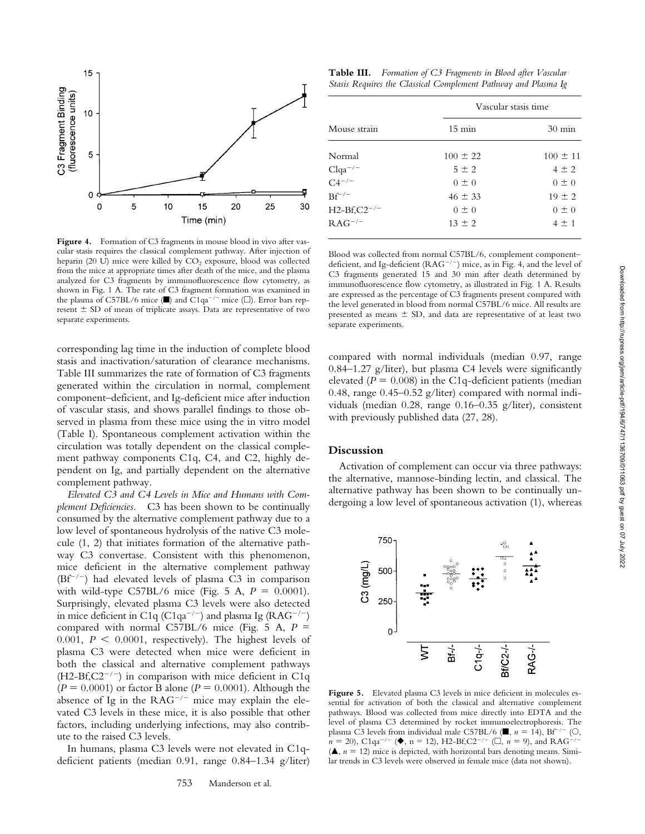

Figure 4. Formation of C3 fragments in mouse blood in vivo after vascular stasis requires the classical complement pathway. After injection of heparin (20 U) mice were killed by  $CO<sub>2</sub>$  exposure, blood was collected from the mice at appropriate times after death of the mice, and the plasma analyzed for C3 fragments by immunofluorescence flow cytometry, as shown in Fig. 1 A. The rate of C3 fragment formation was examined in the plasma of C57BL/6 mice ( $\blacksquare$ ) and C1qa<sup>-/-</sup> mice ( $\Box$ ). Error bars represent  $\pm$  SD of mean of triplicate assays. Data are representative of two separate experiments.

corresponding lag time in the induction of complete blood stasis and inactivation/saturation of clearance mechanisms. Table III summarizes the rate of formation of C3 fragments generated within the circulation in normal, complement component–deficient, and Ig-deficient mice after induction of vascular stasis, and shows parallel findings to those observed in plasma from these mice using the in vitro model (Table I). Spontaneous complement activation within the circulation was totally dependent on the classical complement pathway components C1q, C4, and C2, highly dependent on Ig, and partially dependent on the alternative complement pathway.

*Elevated C3 and C4 Levels in Mice and Humans with Complement Deficiencies.* C3 has been shown to be continually consumed by the alternative complement pathway due to a low level of spontaneous hydrolysis of the native C3 molecule (1, 2) that initiates formation of the alternative pathway C3 convertase. Consistent with this phenomenon, mice deficient in the alternative complement pathway  $(Bf^{-/-})$  had elevated levels of plasma C3 in comparison with wild-type C57BL/6 mice (Fig. 5 A,  $P = 0.0001$ ). Surprisingly, elevated plasma C3 levels were also detected in mice deficient in C1q (C1qa<sup>-/-</sup>) and plasma Ig (RAG<sup>-/-</sup>) compared with normal C57BL/6 mice (Fig. 5 A,  $P =$ 0.001,  $P \le 0.0001$ , respectively). The highest levels of plasma C3 were detected when mice were deficient in both the classical and alternative complement pathways  $(H2-Bf,C2^{-/-})$  in comparison with mice deficient in C1q  $(P = 0.0001)$  or factor B alone  $(P = 0.0001)$ . Although the absence of Ig in the  $RAG^{-/-}$  mice may explain the elevated C3 levels in these mice, it is also possible that other factors, including underlying infections, may also contribute to the raised C3 levels.

In humans, plasma C3 levels were not elevated in C1qdeficient patients (median 0.91, range 0.84–1.34 g/liter)

**Table III.** *Formation of C3 Fragments in Blood after Vascular Stasis Requires the Classical Complement Pathway and Plasma Ig*

| Mouse strain                             | Vascular stasis time |                  |  |
|------------------------------------------|----------------------|------------------|--|
|                                          | $15 \text{ min}$     | $30 \text{ min}$ |  |
| Normal                                   | $100 \pm 22$         | $100 \pm 11$     |  |
|                                          | $5 \pm 2$            | $4 \pm 2$        |  |
| Clqa <sup>-/-</sup><br>C4 <sup>-/-</sup> | $0 \pm 0$            | $0 \pm 0$        |  |
| $Bf^{-/-}$                               | $46 \pm 33$          | $19 \pm 2$       |  |
| $H2-Bf, C2^{-/-}$                        | $0 \pm 0$            | $0 \pm 0$        |  |
| $\mathrm{RAG}^{-/-}$                     | $13 \pm 2$           | $4 \pm 1$        |  |
|                                          |                      |                  |  |

Blood was collected from normal C57BL/6, complement component– deficient, and Ig-deficient ( $RAG^{-/-}$ ) mice, as in Fig. 4, and the level of C3 fragments generated 15 and 30 min after death determined by immunofluorescence flow cytometry, as illustrated in Fig. 1 A. Results are expressed as the percentage of C3 fragments present compared with the level generated in blood from normal C57BL/6 mice. All results are presented as means  $\pm$  SD, and data are representative of at least two separate experiments.

compared with normal individuals (median 0.97, range 0.84–1.27 g/liter), but plasma C4 levels were significantly elevated  $(P = 0.008)$  in the C1q-deficient patients (median 0.48, range 0.45–0.52 g/liter) compared with normal individuals (median 0.28, range 0.16–0.35 g/liter), consistent with previously published data (27, 28).

## **Discussion**

Activation of complement can occur via three pathways: the alternative, mannose-binding lectin, and classical. The alternative pathway has been shown to be continually undergoing a low level of spontaneous activation (1), whereas



Figure 5. Elevated plasma C3 levels in mice deficient in molecules essential for activation of both the classical and alternative complement pathways. Blood was collected from mice directly into EDTA and the level of plasma C3 determined by rocket immunoelectrophoresis. The plasma C3 levels from individual male C57BL/6 ( $\blacksquare$ ,  $n = 14$ ), Bf<sup>-/-</sup> ( $\bigcirc$ ,  $n = 20$ , C1qa<sup>-/-</sup> ( $\blacklozenge$ , n = 12), H2-Bf,C2<sup>-/-</sup> ( $\square$ , n = 9), and RAG<sup>-/-</sup>  $(\triangle, n = 12)$  mice is depicted, with horizontal bars denoting means. Similar trends in C3 levels were observed in female mice (data not shown).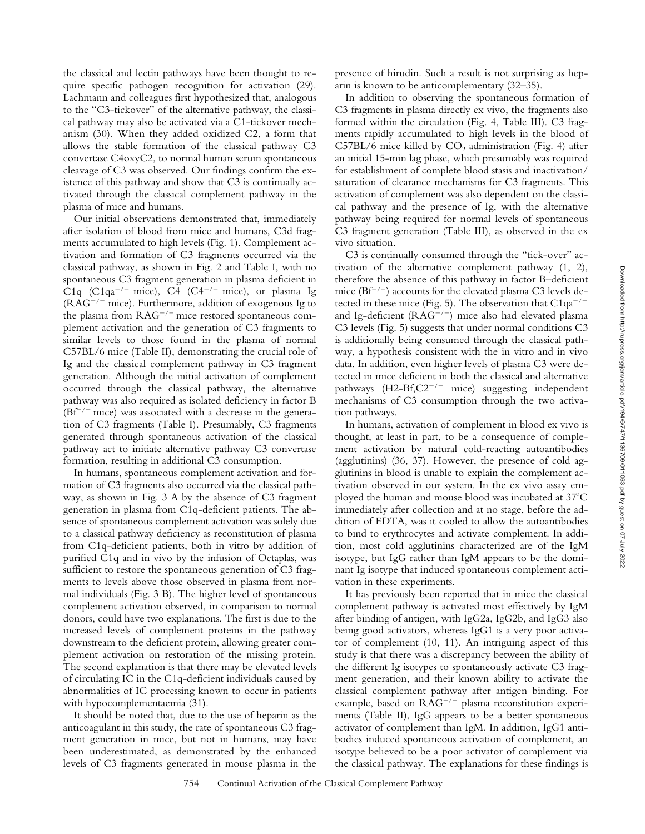the classical and lectin pathways have been thought to require specific pathogen recognition for activation (29). Lachmann and colleagues first hypothesized that, analogous to the "C3-tickover" of the alternative pathway, the classical pathway may also be activated via a C1-tickover mechanism (30). When they added oxidized C2, a form that allows the stable formation of the classical pathway C3 convertase C4oxyC2, to normal human serum spontaneous cleavage of C3 was observed. Our findings confirm the existence of this pathway and show that C3 is continually activated through the classical complement pathway in the plasma of mice and humans.

Our initial observations demonstrated that, immediately after isolation of blood from mice and humans, C3d fragments accumulated to high levels (Fig. 1). Complement activation and formation of C3 fragments occurred via the classical pathway, as shown in Fig. 2 and Table I, with no spontaneous C3 fragment generation in plasma deficient in C<sub>1q</sub> (C<sub>1qa</sub><sup>-/-</sup> mice), C<sub>4</sub> (C<sub>4</sub><sup>-/-</sup> mice), or plasma Ig  $(RAG^{-/-}$  mice). Furthermore, addition of exogenous Ig to the plasma from  $RAG^{-/-}$  mice restored spontaneous complement activation and the generation of C3 fragments to similar levels to those found in the plasma of normal C57BL/6 mice (Table II), demonstrating the crucial role of Ig and the classical complement pathway in C3 fragment generation. Although the initial activation of complement occurred through the classical pathway, the alternative pathway was also required as isolated deficiency in factor B  $(Bf^{-/-}$  mice) was associated with a decrease in the generation of C3 fragments (Table I). Presumably, C3 fragments generated through spontaneous activation of the classical pathway act to initiate alternative pathway C3 convertase formation, resulting in additional C3 consumption.

In humans, spontaneous complement activation and formation of C3 fragments also occurred via the classical pathway, as shown in Fig. 3 A by the absence of C3 fragment generation in plasma from C1q-deficient patients. The absence of spontaneous complement activation was solely due to a classical pathway deficiency as reconstitution of plasma from C1q-deficient patients, both in vitro by addition of purified C1q and in vivo by the infusion of Octaplas, was sufficient to restore the spontaneous generation of C3 fragments to levels above those observed in plasma from normal individuals (Fig. 3 B). The higher level of spontaneous complement activation observed, in comparison to normal donors, could have two explanations. The first is due to the increased levels of complement proteins in the pathway downstream to the deficient protein, allowing greater complement activation on restoration of the missing protein. The second explanation is that there may be elevated levels of circulating IC in the C1q-deficient individuals caused by abnormalities of IC processing known to occur in patients with hypocomplementaemia (31).

It should be noted that, due to the use of heparin as the anticoagulant in this study, the rate of spontaneous C3 fragment generation in mice, but not in humans, may have been underestimated, as demonstrated by the enhanced levels of C3 fragments generated in mouse plasma in the presence of hirudin. Such a result is not surprising as heparin is known to be anticomplementary (32–35).

In addition to observing the spontaneous formation of C3 fragments in plasma directly ex vivo, the fragments also formed within the circulation (Fig. 4, Table III). C3 fragments rapidly accumulated to high levels in the blood of  $C57BL/6$  mice killed by  $CO<sub>2</sub>$  administration (Fig. 4) after an initial 15-min lag phase, which presumably was required for establishment of complete blood stasis and inactivation/ saturation of clearance mechanisms for C3 fragments. This activation of complement was also dependent on the classical pathway and the presence of Ig, with the alternative pathway being required for normal levels of spontaneous C3 fragment generation (Table III), as observed in the ex vivo situation.

C3 is continually consumed through the "tick-over" activation of the alternative complement pathway (1, 2), therefore the absence of this pathway in factor B–deficient mice ( $Bf^{-/-}$ ) accounts for the elevated plasma C3 levels detected in these mice (Fig. 5). The observation that  $C1qa^{-/-}$ and Ig-deficient ( $RAG^{-/-}$ ) mice also had elevated plasma C3 levels (Fig. 5) suggests that under normal conditions C3 is additionally being consumed through the classical pathway, a hypothesis consistent with the in vitro and in vivo data. In addition, even higher levels of plasma C3 were detected in mice deficient in both the classical and alternative pathways  $(H2-Bf,C2^{-/-}$  mice) suggesting independent mechanisms of C3 consumption through the two activation pathways.

In humans, activation of complement in blood ex vivo is thought, at least in part, to be a consequence of complement activation by natural cold-reacting autoantibodies (agglutinins) (36, 37). However, the presence of cold agglutinins in blood is unable to explain the complement activation observed in our system. In the ex vivo assay employed the human and mouse blood was incubated at 37°C immediately after collection and at no stage, before the addition of EDTA, was it cooled to allow the autoantibodies to bind to erythrocytes and activate complement. In addition, most cold agglutinins characterized are of the IgM isotype, but IgG rather than IgM appears to be the dominant Ig isotype that induced spontaneous complement activation in these experiments.

It has previously been reported that in mice the classical complement pathway is activated most effectively by IgM after binding of antigen, with IgG2a, IgG2b, and IgG3 also being good activators, whereas IgG1 is a very poor activator of complement (10, 11). An intriguing aspect of this study is that there was a discrepancy between the ability of the different Ig isotypes to spontaneously activate C3 fragment generation, and their known ability to activate the classical complement pathway after antigen binding. For example, based on  $RAG^{-/-}$  plasma reconstitution experiments (Table II), IgG appears to be a better spontaneous activator of complement than IgM. In addition, IgG1 antibodies induced spontaneous activation of complement, an isotype believed to be a poor activator of complement via the classical pathway. The explanations for these findings is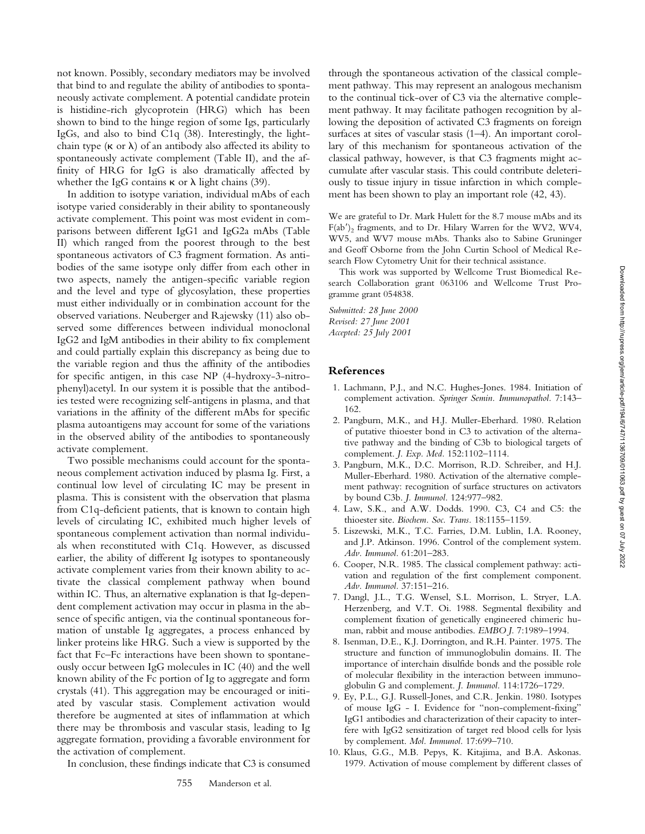not known. Possibly, secondary mediators may be involved that bind to and regulate the ability of antibodies to spontaneously activate complement. A potential candidate protein is histidine-rich glycoprotein (HRG) which has been shown to bind to the hinge region of some Igs, particularly IgGs, and also to bind C1q (38). Interestingly, the lightchain type  $(\kappa \text{ or } \lambda)$  of an antibody also affected its ability to spontaneously activate complement (Table II), and the affinity of HRG for IgG is also dramatically affected by whether the IgG contains  $\kappa$  or  $\lambda$  light chains (39).

In addition to isotype variation, individual mAbs of each isotype varied considerably in their ability to spontaneously activate complement. This point was most evident in comparisons between different IgG1 and IgG2a mAbs (Table II) which ranged from the poorest through to the best spontaneous activators of C3 fragment formation. As antibodies of the same isotype only differ from each other in two aspects, namely the antigen-specific variable region and the level and type of glycosylation, these properties must either individually or in combination account for the observed variations. Neuberger and Rajewsky (11) also observed some differences between individual monoclonal IgG2 and IgM antibodies in their ability to fix complement and could partially explain this discrepancy as being due to the variable region and thus the affinity of the antibodies for specific antigen, in this case NP (4-hydroxy-3-nitrophenyl)acetyl. In our system it is possible that the antibodies tested were recognizing self-antigens in plasma, and that variations in the affinity of the different mAbs for specific plasma autoantigens may account for some of the variations in the observed ability of the antibodies to spontaneously activate complement.

Two possible mechanisms could account for the spontaneous complement activation induced by plasma Ig. First, a continual low level of circulating IC may be present in plasma. This is consistent with the observation that plasma from C1q-deficient patients, that is known to contain high levels of circulating IC, exhibited much higher levels of spontaneous complement activation than normal individuals when reconstituted with C1q. However, as discussed earlier, the ability of different Ig isotypes to spontaneously activate complement varies from their known ability to activate the classical complement pathway when bound within IC. Thus, an alternative explanation is that Ig-dependent complement activation may occur in plasma in the absence of specific antigen, via the continual spontaneous formation of unstable Ig aggregates, a process enhanced by linker proteins like HRG. Such a view is supported by the fact that Fc–Fc interactions have been shown to spontaneously occur between IgG molecules in IC (40) and the well known ability of the Fc portion of Ig to aggregate and form crystals (41). This aggregation may be encouraged or initiated by vascular stasis. Complement activation would therefore be augmented at sites of inflammation at which there may be thrombosis and vascular stasis, leading to Ig aggregate formation, providing a favorable environment for the activation of complement.

In conclusion, these findings indicate that C3 is consumed

through the spontaneous activation of the classical complement pathway. This may represent an analogous mechanism to the continual tick-over of C3 via the alternative complement pathway. It may facilitate pathogen recognition by allowing the deposition of activated C3 fragments on foreign surfaces at sites of vascular stasis (1–4). An important corollary of this mechanism for spontaneous activation of the classical pathway, however, is that C3 fragments might accumulate after vascular stasis. This could contribute deleteriously to tissue injury in tissue infarction in which complement has been shown to play an important role (42, 43).

We are grateful to Dr. Mark Hulett for the 8.7 mouse mAbs and its F(ab'), fragments, and to Dr. Hilary Warren for the WV2, WV4, WV5, and WV7 mouse mAbs. Thanks also to Sabine Gruninger and Geoff Osborne from the John Curtin School of Medical Research Flow Cytometry Unit for their technical assistance.

This work was supported by Wellcome Trust Biomedical Research Collaboration grant 063106 and Wellcome Trust Programme grant 054838.

*Submitted: 28 June 2000 Revised: 27 June 2001 Accepted: 25 July 2001*

### **References**

- 1. Lachmann, P.J., and N.C. Hughes-Jones. 1984. Initiation of complement activation. *Springer Semin. Immunopathol.* 7:143– 162.
- 2. Pangburn, M.K., and H.J. Muller-Eberhard. 1980. Relation of putative thioester bond in C3 to activation of the alternative pathway and the binding of C3b to biological targets of complement. *J. Exp. Med.* 152:1102–1114.
- 3. Pangburn, M.K., D.C. Morrison, R.D. Schreiber, and H.J. Muller-Eberhard. 1980. Activation of the alternative complement pathway: recognition of surface structures on activators by bound C3b. *J. Immunol.* 124:977–982.
- 4. Law, S.K., and A.W. Dodds. 1990. C3, C4 and C5: the thioester site. *Biochem. Soc. Trans.* 18:1155–1159.
- 5. Liszewski, M.K., T.C. Farries, D.M. Lublin, I.A. Rooney, and J.P. Atkinson. 1996. Control of the complement system. *Adv. Immunol.* 61:201–283.
- 6. Cooper, N.R. 1985. The classical complement pathway: activation and regulation of the first complement component. *Adv. Immunol.* 37:151–216.
- 7. Dangl, J.L., T.G. Wensel, S.L. Morrison, L. Stryer, L.A. Herzenberg, and V.T. Oi. 1988. Segmental flexibility and complement fixation of genetically engineered chimeric human, rabbit and mouse antibodies. *EMBO J.* 7:1989–1994.
- 8. Isenman, D.E., K.J. Dorrington, and R.H. Painter. 1975. The structure and function of immunoglobulin domains. II. The importance of interchain disulfide bonds and the possible role of molecular flexibility in the interaction between immunoglobulin G and complement. *J. Immunol.* 114:1726–1729.
- 9. Ey, P.L., G.J. Russell-Jones, and C.R. Jenkin. 1980. Isotypes of mouse IgG - I. Evidence for "non-complement-fixing" IgG1 antibodies and characterization of their capacity to interfere with IgG2 sensitization of target red blood cells for lysis by complement. *Mol. Immunol.* 17:699–710.
- 10. Klaus, G.G., M.B. Pepys, K. Kitajima, and B.A. Askonas. 1979. Activation of mouse complement by different classes of